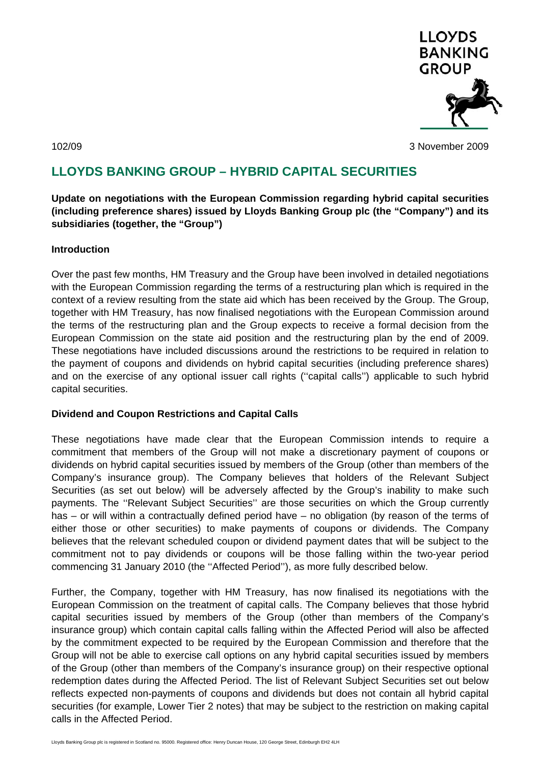

102/09 3 November 2009

# **LLOYDS BANKING GROUP – HYBRID CAPITAL SECURITIES**

**Update on negotiations with the European Commission regarding hybrid capital securities (including preference shares) issued by Lloyds Banking Group plc (the "Company") and its subsidiaries (together, the "Group")** 

# **Introduction**

Over the past few months, HM Treasury and the Group have been involved in detailed negotiations with the European Commission regarding the terms of a restructuring plan which is required in the context of a review resulting from the state aid which has been received by the Group. The Group, together with HM Treasury, has now finalised negotiations with the European Commission around the terms of the restructuring plan and the Group expects to receive a formal decision from the European Commission on the state aid position and the restructuring plan by the end of 2009. These negotiations have included discussions around the restrictions to be required in relation to the payment of coupons and dividends on hybrid capital securities (including preference shares) and on the exercise of any optional issuer call rights (''capital calls'') applicable to such hybrid capital securities.

# **Dividend and Coupon Restrictions and Capital Calls**

These negotiations have made clear that the European Commission intends to require a commitment that members of the Group will not make a discretionary payment of coupons or dividends on hybrid capital securities issued by members of the Group (other than members of the Company's insurance group). The Company believes that holders of the Relevant Subject Securities (as set out below) will be adversely affected by the Group's inability to make such payments. The ''Relevant Subject Securities'' are those securities on which the Group currently has – or will within a contractually defined period have – no obligation (by reason of the terms of either those or other securities) to make payments of coupons or dividends. The Company believes that the relevant scheduled coupon or dividend payment dates that will be subject to the commitment not to pay dividends or coupons will be those falling within the two-year period commencing 31 January 2010 (the ''Affected Period''), as more fully described below.

Further, the Company, together with HM Treasury, has now finalised its negotiations with the European Commission on the treatment of capital calls. The Company believes that those hybrid capital securities issued by members of the Group (other than members of the Company's insurance group) which contain capital calls falling within the Affected Period will also be affected by the commitment expected to be required by the European Commission and therefore that the Group will not be able to exercise call options on any hybrid capital securities issued by members of the Group (other than members of the Company's insurance group) on their respective optional redemption dates during the Affected Period. The list of Relevant Subject Securities set out below reflects expected non-payments of coupons and dividends but does not contain all hybrid capital securities (for example, Lower Tier 2 notes) that may be subject to the restriction on making capital calls in the Affected Period.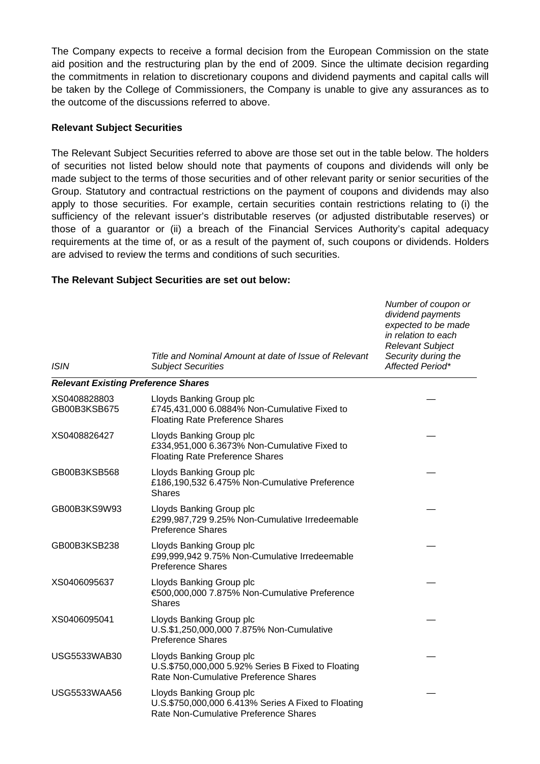The Company expects to receive a formal decision from the European Commission on the state aid position and the restructuring plan by the end of 2009. Since the ultimate decision regarding the commitments in relation to discretionary coupons and dividend payments and capital calls will be taken by the College of Commissioners, the Company is unable to give any assurances as to the outcome of the discussions referred to above.

# **Relevant Subject Securities**

The Relevant Subject Securities referred to above are those set out in the table below. The holders of securities not listed below should note that payments of coupons and dividends will only be made subject to the terms of those securities and of other relevant parity or senior securities of the Group. Statutory and contractual restrictions on the payment of coupons and dividends may also apply to those securities. For example, certain securities contain restrictions relating to (i) the sufficiency of the relevant issuer's distributable reserves (or adjusted distributable reserves) or those of a guarantor or (ii) a breach of the Financial Services Authority's capital adequacy requirements at the time of, or as a result of the payment of, such coupons or dividends. Holders are advised to review the terms and conditions of such securities.

#### *ISIN Title and Nominal Amount at date of Issue of Relevant Subject Securities Number of coupon or dividend payments expected to be made in relation to each Relevant Subject Security during the Affected Period\* Relevant Existing Preference Shares*  XS0408828803 GB00B3KSB675 Lloyds Banking Group plc £745,431,000 6.0884% Non-Cumulative Fixed to Floating Rate Preference Shares — XS0408826427 Lloyds Banking Group plc £334,951,000 6.3673% Non-Cumulative Fixed to Floating Rate Preference Shares — GB00B3KSB568 Lloyds Banking Group plc £186,190,532 6.475% Non-Cumulative Preference Shares — GB00B3KS9W93 Lloyds Banking Group plc £299,987,729 9.25% Non-Cumulative Irredeemable Preference Shares — GB00B3KSB238 Lloyds Banking Group plc £99,999,942 9.75% Non-Cumulative Irredeemable Preference Shares — XS0406095637 Lloyds Banking Group plc €500,000,000 7.875% Non-Cumulative Preference Shares — XS0406095041 Lloyds Banking Group plc U.S.\$1,250,000,000 7.875% Non-Cumulative Preference Shares — USG5533WAB30 Lloyds Banking Group plc U.S.\$750,000,000 5.92% Series B Fixed to Floating Rate Non-Cumulative Preference Shares — USG5533WAA56 Lloyds Banking Group plc U.S.\$750,000,000 6.413% Series A Fixed to Floating Rate Non-Cumulative Preference Shares —

### **The Relevant Subject Securities are set out below:**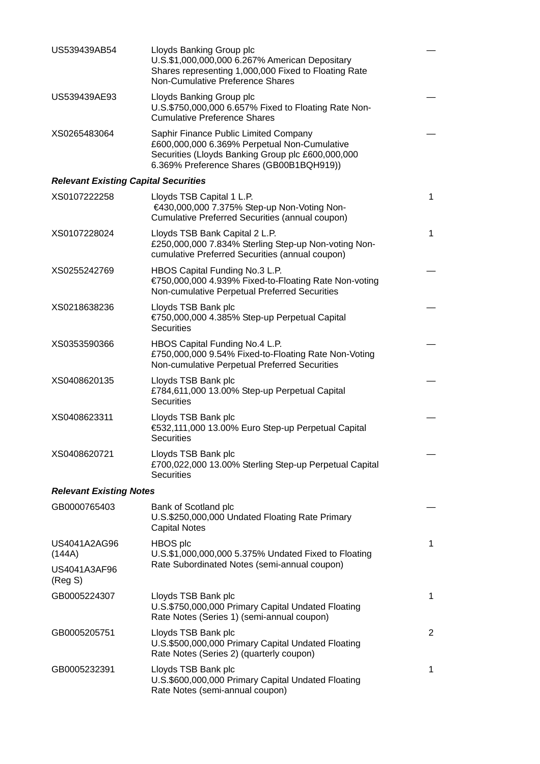| US539439AB54                                | Lloyds Banking Group plc<br>U.S.\$1,000,000,000 6.267% American Depositary<br>Shares representing 1,000,000 Fixed to Floating Rate<br>Non-Cumulative Preference Shares                 |                |  |  |
|---------------------------------------------|----------------------------------------------------------------------------------------------------------------------------------------------------------------------------------------|----------------|--|--|
| US539439AE93                                | Lloyds Banking Group plc<br>U.S.\$750,000,000 6.657% Fixed to Floating Rate Non-<br><b>Cumulative Preference Shares</b>                                                                |                |  |  |
| XS0265483064                                | Saphir Finance Public Limited Company<br>£600,000,000 6.369% Perpetual Non-Cumulative<br>Securities (Lloyds Banking Group plc £600,000,000<br>6.369% Preference Shares (GB00B1BQH919)) |                |  |  |
| <b>Relevant Existing Capital Securities</b> |                                                                                                                                                                                        |                |  |  |
| XS0107222258                                | Lloyds TSB Capital 1 L.P.<br>€430,000,000 7.375% Step-up Non-Voting Non-<br>Cumulative Preferred Securities (annual coupon)                                                            | $\mathbf{1}$   |  |  |
| XS0107228024                                | Lloyds TSB Bank Capital 2 L.P.<br>£250,000,000 7.834% Sterling Step-up Non-voting Non-<br>cumulative Preferred Securities (annual coupon)                                              | $\mathbf 1$    |  |  |
| XS0255242769                                | HBOS Capital Funding No.3 L.P.<br>€750,000,000 4.939% Fixed-to-Floating Rate Non-voting<br>Non-cumulative Perpetual Preferred Securities                                               |                |  |  |
| XS0218638236                                | Lloyds TSB Bank plc<br>€750,000,000 4.385% Step-up Perpetual Capital<br><b>Securities</b>                                                                                              |                |  |  |
| XS0353590366                                | HBOS Capital Funding No.4 L.P.<br>£750,000,000 9.54% Fixed-to-Floating Rate Non-Voting<br>Non-cumulative Perpetual Preferred Securities                                                |                |  |  |
| XS0408620135                                | Lloyds TSB Bank plc<br>£784,611,000 13.00% Step-up Perpetual Capital<br><b>Securities</b>                                                                                              |                |  |  |
| XS0408623311                                | Lloyds TSB Bank plc<br>€532,111,000 13.00% Euro Step-up Perpetual Capital<br><b>Securities</b>                                                                                         |                |  |  |
| XS0408620721                                | Lloyds TSB Bank plc<br>£700,022,000 13.00% Sterling Step-up Perpetual Capital<br><b>Securities</b>                                                                                     |                |  |  |
| <b>Relevant Existing Notes</b>              |                                                                                                                                                                                        |                |  |  |
| GB0000765403                                | Bank of Scotland plc<br>U.S.\$250,000,000 Undated Floating Rate Primary<br><b>Capital Notes</b>                                                                                        |                |  |  |
| US4041A2AG96<br>(144A)                      | HBOS plc<br>U.S.\$1,000,000,000 5.375% Undated Fixed to Floating<br>Rate Subordinated Notes (semi-annual coupon)                                                                       | $\mathbf 1$    |  |  |
| US4041A3AF96<br>(Reg S)                     |                                                                                                                                                                                        |                |  |  |
| GB0005224307                                | Lloyds TSB Bank plc<br>U.S.\$750,000,000 Primary Capital Undated Floating<br>Rate Notes (Series 1) (semi-annual coupon)                                                                | 1              |  |  |
| GB0005205751                                | Lloyds TSB Bank plc<br>U.S.\$500,000,000 Primary Capital Undated Floating<br>Rate Notes (Series 2) (quarterly coupon)                                                                  | $\overline{2}$ |  |  |
| GB0005232391                                | Lloyds TSB Bank plc<br>U.S.\$600,000,000 Primary Capital Undated Floating<br>Rate Notes (semi-annual coupon)                                                                           | 1              |  |  |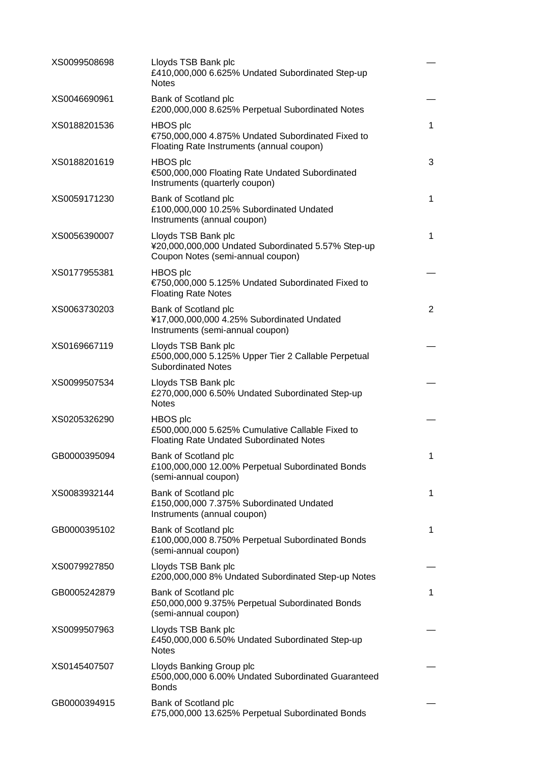| XS0099508698 | Lloyds TSB Bank plc<br>£410,000,000 6.625% Undated Subordinated Step-up<br><b>Notes</b>                         |                |
|--------------|-----------------------------------------------------------------------------------------------------------------|----------------|
| XS0046690961 | Bank of Scotland plc<br>£200,000,000 8.625% Perpetual Subordinated Notes                                        |                |
| XS0188201536 | HBOS plc<br>€750,000,000 4.875% Undated Subordinated Fixed to<br>Floating Rate Instruments (annual coupon)      | 1              |
| XS0188201619 | <b>HBOS</b> plc<br>€500,000,000 Floating Rate Undated Subordinated<br>Instruments (quarterly coupon)            | 3              |
| XS0059171230 | Bank of Scotland plc<br>£100,000,000 10.25% Subordinated Undated<br>Instruments (annual coupon)                 | 1              |
| XS0056390007 | Lloyds TSB Bank plc<br>¥20,000,000,000 Undated Subordinated 5.57% Step-up<br>Coupon Notes (semi-annual coupon)  | $\mathbf 1$    |
| XS0177955381 | HBOS plc<br>€750,000,000 5.125% Undated Subordinated Fixed to<br><b>Floating Rate Notes</b>                     |                |
| XS0063730203 | Bank of Scotland plc<br>¥17,000,000,000 4.25% Subordinated Undated<br>Instruments (semi-annual coupon)          | $\overline{2}$ |
| XS0169667119 | Lloyds TSB Bank plc<br>£500,000,000 5.125% Upper Tier 2 Callable Perpetual<br><b>Subordinated Notes</b>         |                |
| XS0099507534 | Lloyds TSB Bank plc<br>£270,000,000 6.50% Undated Subordinated Step-up<br><b>Notes</b>                          |                |
| XS0205326290 | HBOS plc<br>£500,000,000 5.625% Cumulative Callable Fixed to<br><b>Floating Rate Undated Subordinated Notes</b> |                |
| GB0000395094 | Bank of Scotland plc<br>£100,000,000 12.00% Perpetual Subordinated Bonds<br>(semi-annual coupon)                | 1              |
| XS0083932144 | Bank of Scotland plc<br>£150,000,000 7.375% Subordinated Undated<br>Instruments (annual coupon)                 | 1              |
| GB0000395102 | Bank of Scotland plc<br>£100,000,000 8.750% Perpetual Subordinated Bonds<br>(semi-annual coupon)                | 1              |
| XS0079927850 | Lloyds TSB Bank plc<br>£200,000,000 8% Undated Subordinated Step-up Notes                                       |                |
| GB0005242879 | Bank of Scotland plc<br>£50,000,000 9.375% Perpetual Subordinated Bonds<br>(semi-annual coupon)                 | 1              |
| XS0099507963 | Lloyds TSB Bank plc<br>£450,000,000 6.50% Undated Subordinated Step-up<br><b>Notes</b>                          |                |
| XS0145407507 | Lloyds Banking Group plc<br>£500,000,000 6.00% Undated Subordinated Guaranteed<br><b>Bonds</b>                  |                |
| GB0000394915 | Bank of Scotland plc<br>£75,000,000 13.625% Perpetual Subordinated Bonds                                        |                |